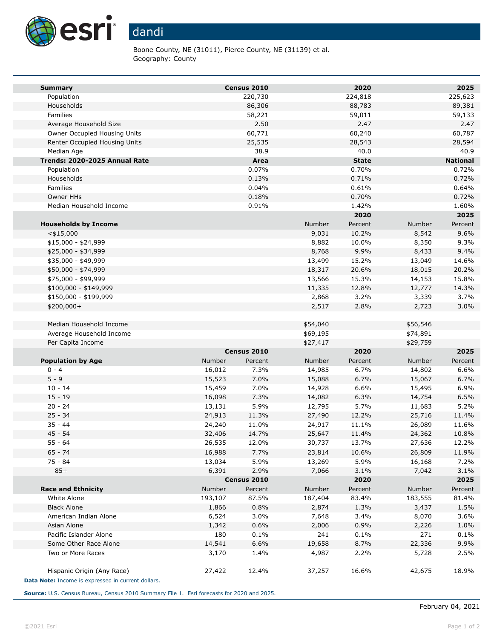

Boone County, NE (31011), Pierce County, NE (31139) et al. Geography: County

| <b>Summary</b>                                     |                 | Census 2010  |                  | 2020           |                  | 2025            |
|----------------------------------------------------|-----------------|--------------|------------------|----------------|------------------|-----------------|
| Population                                         |                 | 220,730      |                  | 224,818        |                  | 225,623         |
| Households                                         |                 | 86,306       |                  | 88,783         |                  | 89,381          |
| Families                                           |                 | 58,221       |                  | 59,011         |                  | 59,133          |
| Average Household Size                             |                 | 2.50         |                  | 2.47           |                  | 2.47            |
| Owner Occupied Housing Units                       |                 | 60,771       |                  | 60,240         |                  | 60,787          |
| Renter Occupied Housing Units                      |                 | 25,535       |                  | 28,543         |                  | 28,594          |
| Median Age                                         |                 | 38.9         |                  | 40.0           |                  | 40.9            |
| Trends: 2020-2025 Annual Rate                      |                 | Area         |                  | <b>State</b>   |                  | <b>National</b> |
| Population                                         |                 | 0.07%        |                  | 0.70%          |                  | 0.72%           |
| Households                                         |                 | 0.13%        |                  | 0.71%          |                  | 0.72%           |
| Families                                           |                 | 0.04%        |                  | 0.61%          |                  | 0.64%           |
| Owner HHs                                          |                 | 0.18%        |                  | 0.70%          |                  | 0.72%           |
| Median Household Income                            |                 | 0.91%        |                  | 1.42%          |                  | 1.60%           |
|                                                    |                 |              |                  | 2020           |                  | 2025            |
| <b>Households by Income</b>                        |                 |              | Number           | Percent        | Number           | Percent         |
| $<$ \$15,000                                       |                 |              | 9,031            | 10.2%          | 8,542            | 9.6%            |
| $$15,000 - $24,999$                                |                 |              | 8,882            | 10.0%          | 8,350            | 9.3%            |
| \$25,000 - \$34,999                                |                 |              | 8,768            | 9.9%           | 8,433            | 9.4%            |
| \$35,000 - \$49,999<br>\$50,000 - \$74,999         |                 |              | 13,499<br>18,317 | 15.2%<br>20.6% | 13,049<br>18,015 | 14.6%<br>20.2%  |
| \$75,000 - \$99,999                                |                 |              | 13,566           | 15.3%          | 14,153           | 15.8%           |
| $$100,000 - $149,999$                              |                 |              | 11,335           | 12.8%          | 12,777           | 14.3%           |
| \$150,000 - \$199,999                              |                 |              | 2,868            | 3.2%           | 3,339            | 3.7%            |
| \$200,000+                                         |                 |              | 2,517            | 2.8%           | 2,723            | 3.0%            |
|                                                    |                 |              |                  |                |                  |                 |
| Median Household Income                            |                 |              | \$54,040         |                | \$56,546         |                 |
| Average Household Income                           |                 |              | \$69,195         |                | \$74,891         |                 |
| Per Capita Income                                  |                 |              | \$27,417         |                | \$29,759         |                 |
|                                                    |                 | Census 2010  |                  | 2020           |                  | 2025            |
| <b>Population by Age</b>                           | <b>Number</b>   | Percent      | Number           | Percent        | Number           | Percent         |
| $0 - 4$                                            | 16,012          | 7.3%         | 14,985           | 6.7%           | 14,802           | 6.6%            |
| $5 - 9$                                            | 15,523          | 7.0%         | 15,088           | 6.7%           | 15,067           | 6.7%            |
| $10 - 14$                                          | 15,459          | 7.0%         | 14,928           | 6.6%           | 15,495           | 6.9%            |
| $15 - 19$                                          | 16,098          | 7.3%         | 14,082           | 6.3%           | 14,754           | 6.5%            |
| $20 - 24$                                          | 13,131          | 5.9%         | 12,795           | 5.7%           | 11,683           | 5.2%            |
| $25 - 34$                                          | 24,913          | 11.3%        | 27,490           | 12.2%          | 25,716           | 11.4%           |
| $35 - 44$                                          | 24,240          | 11.0%        | 24,917           | 11.1%          | 26,089           | 11.6%           |
| $45 - 54$                                          | 32,406          | 14.7%        | 25,647           | 11.4%          | 24,362           | 10.8%           |
| $55 - 64$                                          | 26,535          | 12.0%        | 30,737           | 13.7%          | 27,636           | 12.2%           |
| $65 - 74$                                          | 16,988          | 7.7%         | 23,814           | 10.6%          | 26,809           | 11.9%           |
| 75 - 84                                            | 13,034          | 5.9%         | 13,269           | 5.9%           | 16,168           | 7.2%            |
| $85+$                                              | 6,391           | 2.9%         | 7,066            | 3.1%           | 7,042            | 3.1%            |
|                                                    |                 | Census 2010  |                  | 2020           |                  | 2025            |
| <b>Race and Ethnicity</b>                          | Number          | Percent      | Number           | Percent        | Number           | Percent         |
| White Alone                                        | 193,107         | 87.5%        | 187,404          | 83.4%          | 183,555          | 81.4%           |
| <b>Black Alone</b>                                 | 1,866           | 0.8%         | 2,874            | 1.3%           | 3,437            | 1.5%            |
| American Indian Alone                              | 6,524           | 3.0%         | 7,648            | 3.4%           | 8,070            | 3.6%            |
| Asian Alone<br>Pacific Islander Alone              | 1,342           | 0.6%<br>0.1% | 2,006            | 0.9%<br>0.1%   | 2,226<br>271     | 1.0%            |
|                                                    | 180             |              | 241              |                |                  | 0.1%            |
| Some Other Race Alone<br>Two or More Races         | 14,541<br>3,170 | 6.6%<br>1.4% | 19,658<br>4,987  | 8.7%<br>2.2%   | 22,336<br>5,728  | 9.9%<br>2.5%    |
|                                                    |                 |              |                  |                |                  |                 |
| Hispanic Origin (Any Race)                         | 27,422          | 12.4%        | 37,257           | 16.6%          | 42,675           | 18.9%           |
| Data Note: Income is expressed in current dollars. |                 |              |                  |                |                  |                 |

**Source:** U.S. Census Bureau, Census 2010 Summary File 1. Esri forecasts for 2020 and 2025.